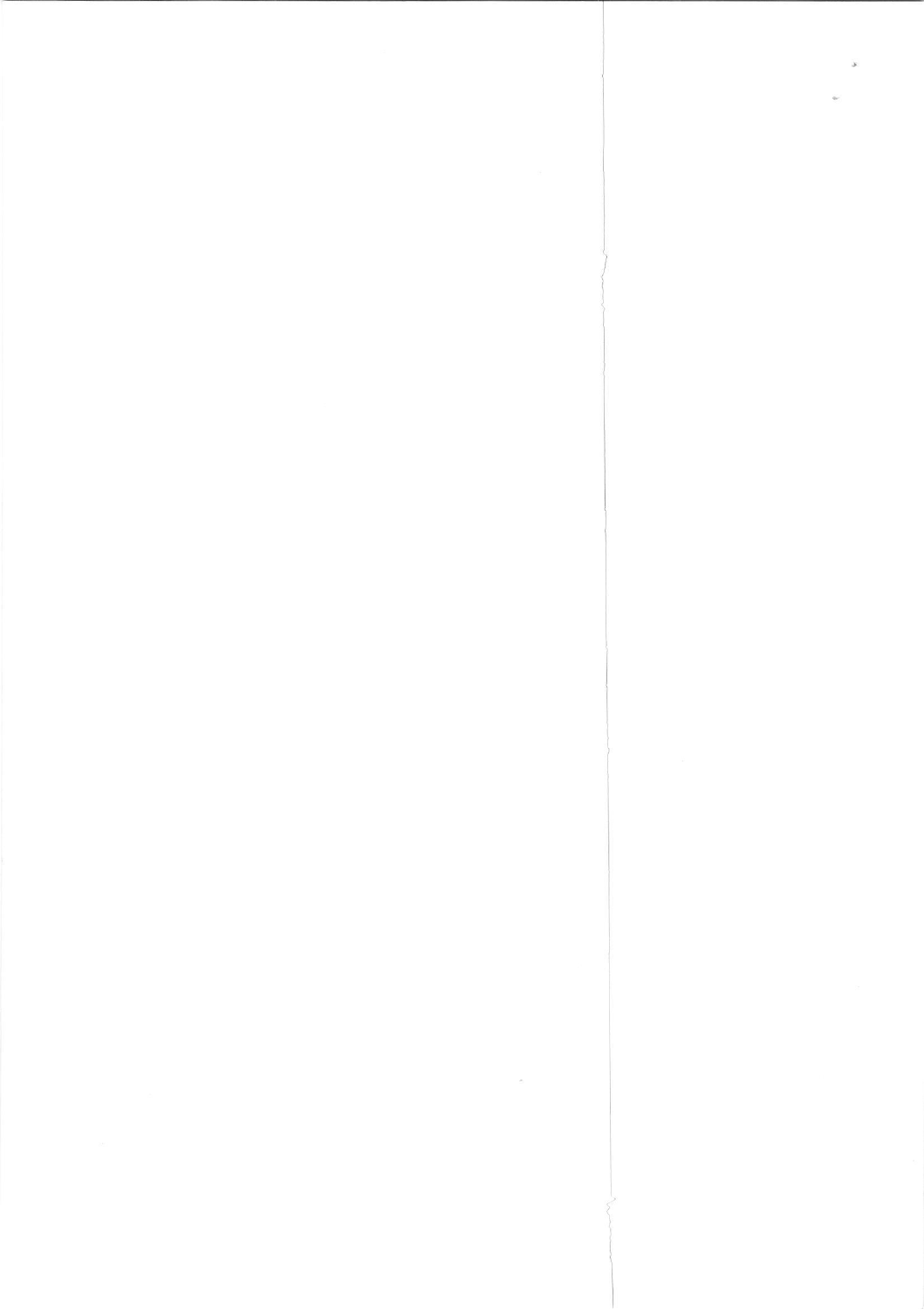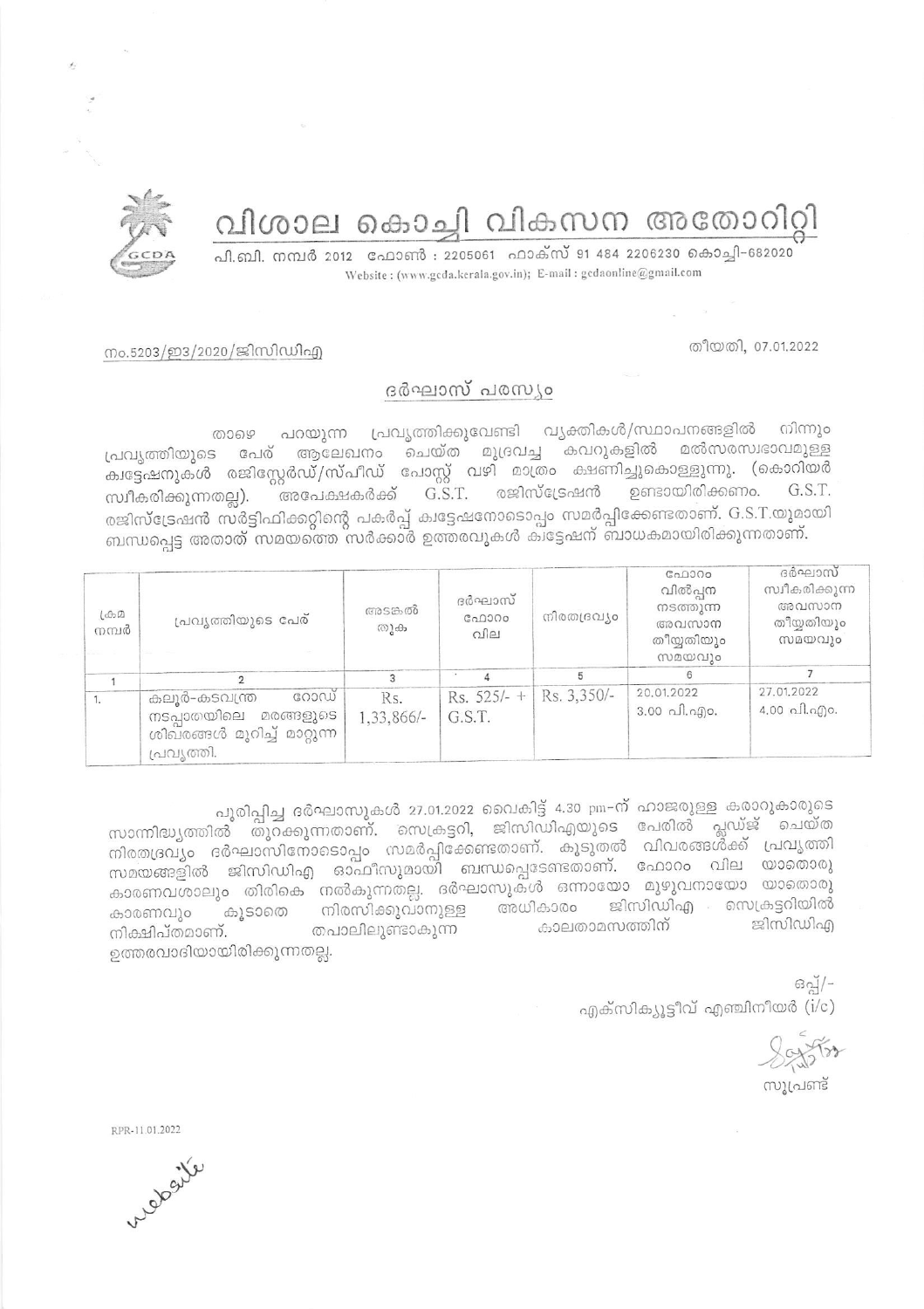വിശാല കൊച്ചി വികസന അതോറിറ്റി

പി.ബി. നമ്പർ 2012 - ഫോൺ : 2205061 - ഫാക്സ് 91 484 2206230 കൊച്ചി-682020 Website: (www.gcda.kerala.gov.in); E-mail: gcdaonline@gmail.com

തീയതി. 07.01.2022

നം.5203/ഇ3/2020/ജിസിഡിഎ

## ദർഘാസ് പരസ്യം

പറയുന്ന പ്രവ്യത്തിക്കുവേണ്ടി വ്യക്തികൾ/സ്ഥാപനങ്ങളിൽ നിന്നും താഴെ പ്രവൃത്തിയുടെ പേര് ആലേഖനം ചെയ്ത മുദ്രവച്ച കവറുകളിൽ മൽസരസ്വഭാവമുള്ള<br>ക്വട്ടേഷനുകൾ രജിസ്റ്റേർഡ്/സ്പീഡ് പോസ്റ്റ് വഴി മാത്രം ക്ഷണിച്ചുകൊള്ളുന്നു. (കൊറിയർ  $G.S.T.$  രജിസ്ട്രേഷൻ ഉണ്ടായിരിക്കണം. G.S.T. അപേക്ഷകർക്ക് സ്വീകരിക്കുന്നതല്ല). രജിസ്ട്രേഷൻ സർട്ടിഫിക്കറ്റിന്റെ പകർപ്പ് ക്വട്ടേഷനോടൊപ്പം സമർപ്പിക്കേണ്ടതാണ്. G.S.T.യുമായി ബന്ധപ്പെട്ട അതാത് സമയത്തെ സർക്കാർ ഉത്തരവുകൾ കിട്ടേഷന് ബാധകമായിരിക്കുന്നതാണ്.

| $L\oplus\mathcal{D}$<br>നമ്പർ | പ്രവൃത്തിയുടെ പേര്                                                                           | അടങ്കൽ<br>തുക       | ദർഘാസ്<br>C <sub>0</sub> 000<br>വില   | നിരതദ്രവ്യം | G00000<br>വിൽപ്പന<br>നടത്തുന്ന<br>അവസാന<br>തീയതിയും<br>സമയവും | ദർഘാസ്<br>സ്വീകരിക്കുന്ന<br>അവസാന<br>തീയ്യതിയും<br>സമയവും |
|-------------------------------|----------------------------------------------------------------------------------------------|---------------------|---------------------------------------|-------------|---------------------------------------------------------------|-----------------------------------------------------------|
|                               |                                                                                              |                     |                                       |             |                                                               |                                                           |
|                               | കലൂർ-കടവന്ത്ര<br>GOOUD<br>നടപ്പാതയിലെ മരങ്ങളുടെ<br>ശിഖരങ്ങൾ മുറിച്ച് മാറ്റുന്ന<br>പ്രവൃത്തി. | Rs.<br>$1,33,866/-$ | Rs. $525/-$ + Rs. $3,350/-$<br>G.S.T. |             | 20.01.2022<br>$3.00 \text{ all.}$ ngo.                        | 27.01.2022<br>$4.00 \text{ all.}$ ano.                    |

പൂരിപ്പിച്ച ദർഘാസുകൾ 27.01.2022 വൈകിട്ട് 4.30 pm-ന് ഹാജരുള്ള കരാറുകാരുടെ സാന്നിദ്ധ്യത്തിൽ തുറക്കുന്നതാണ്. സെക്രട്ടറി, ജിസിഡിഎയുടെ പേരിൽ പ്ലഡ്ജ് ചെയ്ത നിരതദ്രവും ദർഘാസിനോടൊപ്പം സമർപ്പിക്കേണ്ടതാണ്. കൂടുതൽ വിവരങ്ങൾക്ക് പ്രവൃത്തി സമയങ്ങളിൽ ജിസിഡിഎ ഓഫീസുമായി ബന്ധപ്പെടേണ്ടതാണ്. ഫോറം വില യാതൊരു കാരണവശാലും തിരികെ നൽകുന്നതല്ല. ദർഘാസൂകൾ ഒന്നായോ മുഴുവനായോ യാതൊരു ജിസിഡിഎ സെക്രട്ടറിയിൽ അധികാരം കൂടാതെ നിരസിക്കുവാനുള്ള കാരണവും ജിസിഡിഎ കാലതാമസത്തിന് തപാലിലുണ്ടാകുന്ന നിക്ഷിപ്തമാണ്. ഉത്തരവാദിയായിരിക്കുന്നതല്ല.

> $69a$ എക്സിക്യൂട്ടീവ് എഞ്ചിനീയർ (i/c)

സ്വക്ഷങ്

RPR-11.01.2022

Lubariti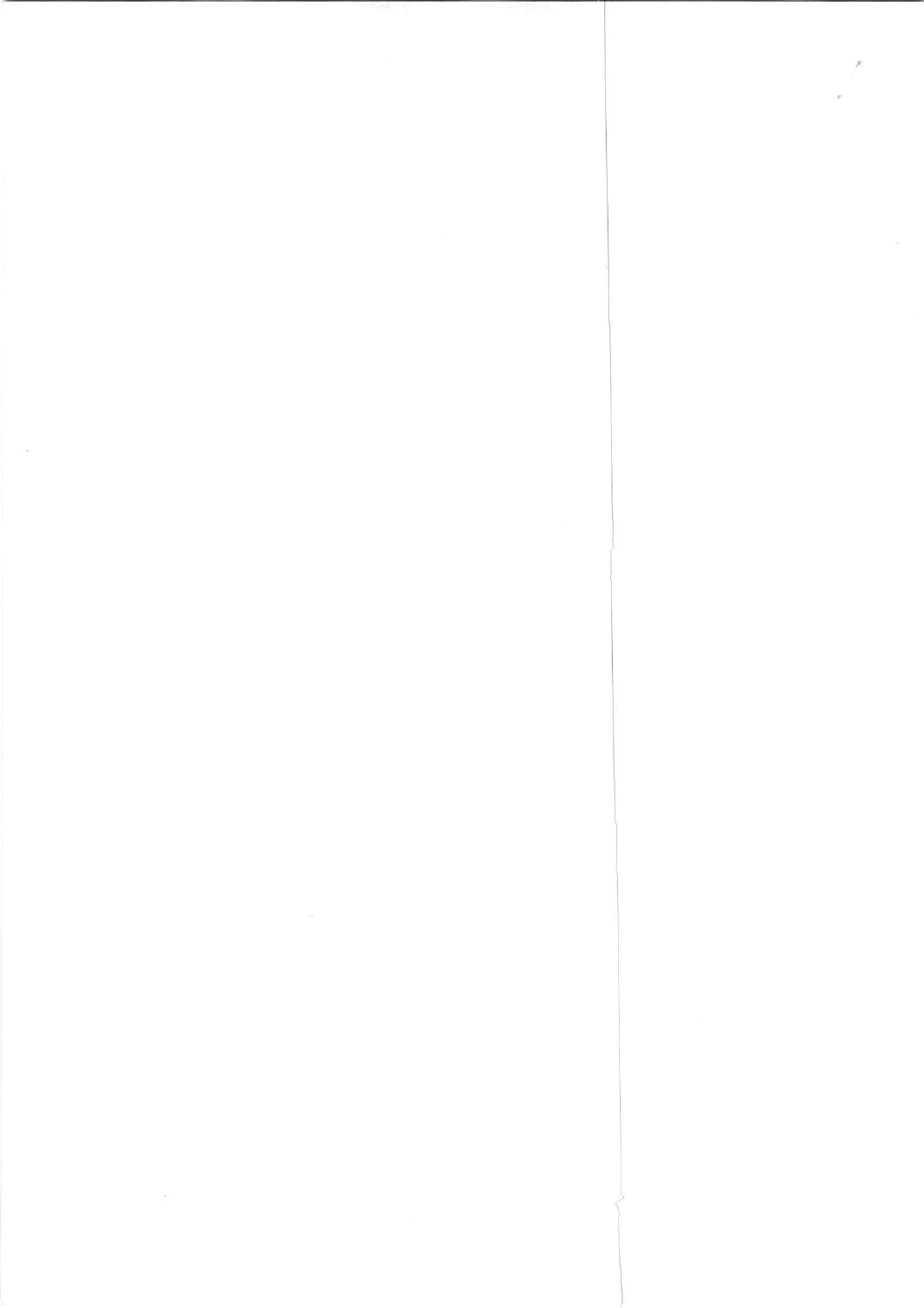